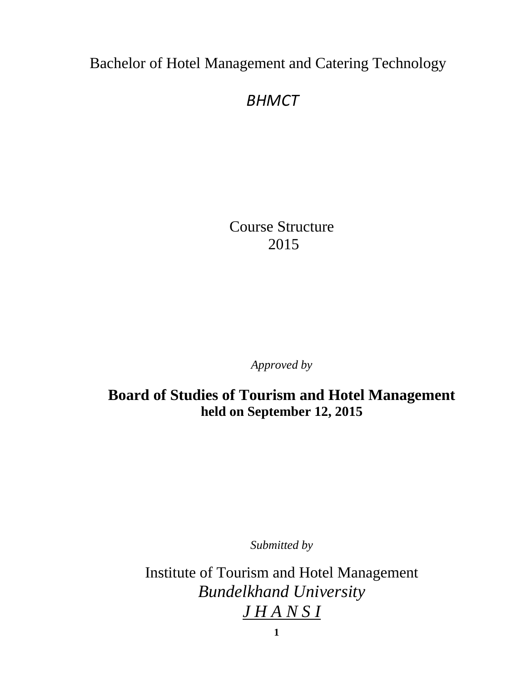Bachelor of Hotel Management and Catering Technology

# *BHMCT*

Course Structure 2015

*Approved by* 

**Board of Studies of Tourism and Hotel Management held on September 12, 2015**

*Submitted by*

Institute of Tourism and Hotel Management *Bundelkhand University J H A N S I*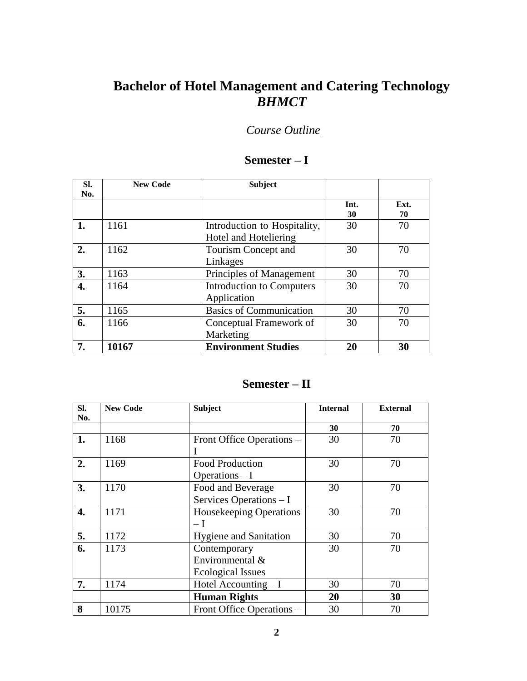## **Bachelor of Hotel Management and Catering Technology** *BHMCT*

## *Course Outline*

| SI. | <b>New Code</b> | <b>Subject</b>                   |      |      |
|-----|-----------------|----------------------------------|------|------|
| No. |                 |                                  |      |      |
|     |                 |                                  | Int. | Ext. |
|     |                 |                                  | 30   | 70   |
| 1.  | 1161            | Introduction to Hospitality,     | 30   | 70   |
|     |                 | Hotel and Hoteliering            |      |      |
| 2.  | 1162            | Tourism Concept and              | 30   | 70   |
|     |                 | Linkages                         |      |      |
| 3.  | 1163            | Principles of Management         | 30   | 70   |
| 4.  | 1164            | <b>Introduction to Computers</b> | 30   | 70   |
|     |                 | Application                      |      |      |
| 5.  | 1165            | <b>Basics of Communication</b>   | 30   | 70   |
| 6.  | 1166            | Conceptual Framework of          | 30   | 70   |
|     |                 | Marketing                        |      |      |
| 7.  | 10167           | <b>Environment Studies</b>       | 20   | 30   |

## **Semester – I**

### **Semester – II**

| SI. | <b>New Code</b> | <b>Subject</b>                 | <b>Internal</b> | <b>External</b> |
|-----|-----------------|--------------------------------|-----------------|-----------------|
| No. |                 |                                |                 |                 |
|     |                 |                                | 30              | 70              |
| 1.  | 1168            | Front Office Operations -      | 30              | 70              |
|     |                 |                                |                 |                 |
| 2.  | 1169            | <b>Food Production</b>         | 30              | 70              |
|     |                 | Operations $-I$                |                 |                 |
| 3.  | 1170            | Food and Beverage              | 30              | 70              |
|     |                 | Services Operations - I        |                 |                 |
| 4.  | 1171            | <b>Housekeeping Operations</b> | 30              | 70              |
|     |                 | $-I$                           |                 |                 |
| 5.  | 1172            | <b>Hygiene and Sanitation</b>  | 30              | 70              |
| 6.  | 1173            | Contemporary                   | 30              | 70              |
|     |                 | Environmental &                |                 |                 |
|     |                 | <b>Ecological Issues</b>       |                 |                 |
| 7.  | 1174            | Hotel Accounting $-I$          | 30              | 70              |
|     |                 | <b>Human Rights</b>            | 20              | 30              |
| 8   | 10175           | Front Office Operations -      | 30              | 70              |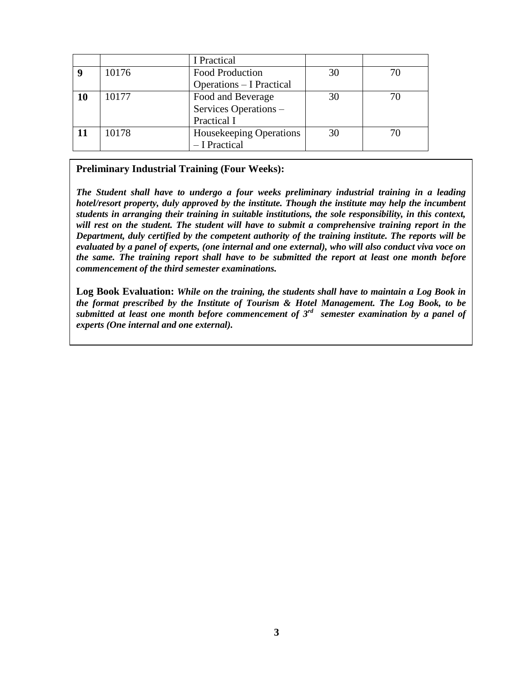|    |       | I Practical                     |    |    |
|----|-------|---------------------------------|----|----|
|    | 10176 | Food Production                 | 30 | 70 |
|    |       | <b>Operations – I Practical</b> |    |    |
| 10 | 10177 | Food and Beverage               | 30 | 70 |
|    |       | Services Operations -           |    |    |
|    |       | Practical I                     |    |    |
|    | 10178 | <b>Housekeeping Operations</b>  | 30 | 70 |
|    |       | - I Practical                   |    |    |

**Preliminary Industrial Training (Four Weeks):**

*The Student shall have to undergo a four weeks preliminary industrial training in a leading hotel/resort property, duly approved by the institute. Though the institute may help the incumbent students in arranging their training in suitable institutions, the sole responsibility, in this context, will rest on the student. The student will have to submit a comprehensive training report in the Department, duly certified by the competent authority of the training institute. The reports will be evaluated by a panel of experts, (one internal and one external), who will also conduct viva voce on the same. The training report shall have to be submitted the report at least one month before commencement of the third semester examinations.* 

**Log Book Evaluation:** *While on the training, the students shall have to maintain a Log Book in the format prescribed by the Institute of Tourism & Hotel Management. The Log Book, to be submitted at least one month before commencement of 3rd semester examination by a panel of experts (One internal and one external).*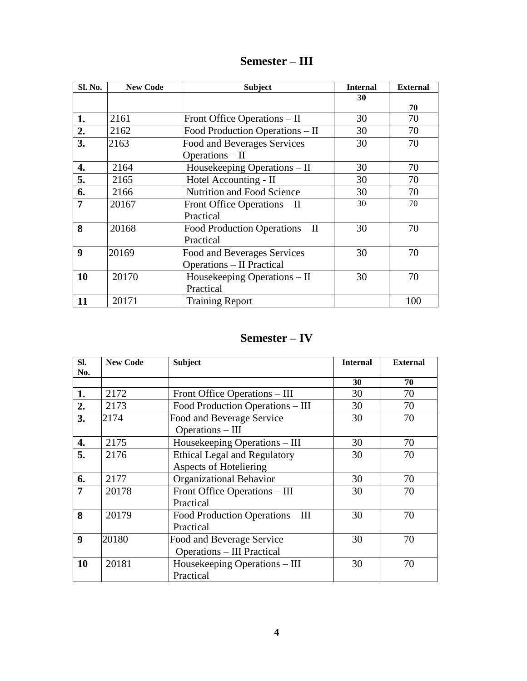| Semester – III |  |  |
|----------------|--|--|
|----------------|--|--|

| Sl. No.        | <b>New Code</b> | <b>Subject</b>                    | <b>Internal</b> | <b>External</b> |
|----------------|-----------------|-----------------------------------|-----------------|-----------------|
|                |                 |                                   | 30              |                 |
|                |                 |                                   |                 | 70              |
| 1.             | 2161            | Front Office Operations – II      | 30              | 70              |
| 2.             | 2162            | Food Production Operations - II   | 30              | 70              |
| 3.             | 2163            | Food and Beverages Services       | 30              | 70              |
|                |                 | Operations - II                   |                 |                 |
| 4.             | 2164            | Housekeeping Operations - II      | 30              | 70              |
| 5.             | 2165            | Hotel Accounting - II             | 30              | 70              |
| 6.             | 2166            | <b>Nutrition and Food Science</b> | 30              | 70              |
| $\overline{7}$ | 20167           | Front Office Operations – II      | 30              | 70              |
|                |                 | Practical                         |                 |                 |
| 8              | 20168           | Food Production Operations – II   | 30              | 70              |
|                |                 | Practical                         |                 |                 |
| 9              | 20169           | Food and Beverages Services       | 30              | 70              |
|                |                 | <b>Operations – II Practical</b>  |                 |                 |
| 10             | 20170           | Housekeeping Operations – II      | 30              | 70              |
|                |                 | Practical                         |                 |                 |
| 11             | 20171           | <b>Training Report</b>            |                 | 100             |

### **Semester – IV**

| Sl. | <b>New Code</b> | <b>Subject</b>                      | <b>Internal</b> | <b>External</b> |
|-----|-----------------|-------------------------------------|-----------------|-----------------|
| No. |                 |                                     |                 |                 |
|     |                 |                                     | 30              | 70              |
| 1.  | 2172            | Front Office Operations – III       | 30              | 70              |
| 2.  | 2173            | Food Production Operations – III    | 30              | 70              |
| 3.  | 2174            | Food and Beverage Service           | 30              | 70              |
|     |                 | Operations - III                    |                 |                 |
| 4.  | 2175            | Housekeeping Operations – III       | 30              | 70              |
| 5.  | 2176            | <b>Ethical Legal and Regulatory</b> | 30              | 70              |
|     |                 | <b>Aspects of Hoteliering</b>       |                 |                 |
| 6.  | 2177            | <b>Organizational Behavior</b>      | 30              | 70              |
| 7   | 20178           | Front Office Operations – III       | 30              | 70              |
|     |                 | Practical                           |                 |                 |
| 8   | 20179           | Food Production Operations - III    | 30              | 70              |
|     |                 | Practical                           |                 |                 |
| 9   | 20180           | Food and Beverage Service           | 30              | 70              |
|     |                 | <b>Operations – III Practical</b>   |                 |                 |
| 10  | 20181           | Housekeeping Operations – III       | 30              | 70              |
|     |                 | Practical                           |                 |                 |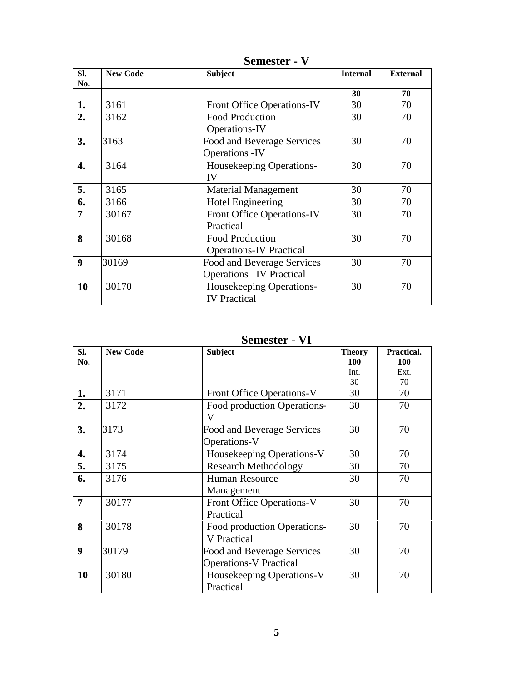| SI.              | <b>New Code</b> | <b>Subject</b>                    | <b>Internal</b> | <b>External</b> |
|------------------|-----------------|-----------------------------------|-----------------|-----------------|
| No.              |                 |                                   |                 |                 |
|                  |                 |                                   | 30              | 70              |
| 1.               | 3161            | <b>Front Office Operations-IV</b> | 30              | 70              |
| 2.               | 3162            | <b>Food Production</b>            | 30              | 70              |
|                  |                 | Operations-IV                     |                 |                 |
| 3.               | 3163            | Food and Beverage Services        | 30              | 70              |
|                  |                 | <b>Operations -IV</b>             |                 |                 |
| 4.               | 3164            | Housekeeping Operations-          | 30              | 70              |
|                  |                 | IV                                |                 |                 |
| 5.               | 3165            | <b>Material Management</b>        | 30              | 70              |
| 6.               | 3166            | <b>Hotel Engineering</b>          | 30              | 70              |
| $\overline{7}$   | 30167           | <b>Front Office Operations-IV</b> | 30              | 70              |
|                  |                 | Practical                         |                 |                 |
| 8                | 30168           | <b>Food Production</b>            | 30              | 70              |
|                  |                 | <b>Operations-IV Practical</b>    |                 |                 |
| $\boldsymbol{9}$ | 30169           | Food and Beverage Services        | 30              | 70              |
|                  |                 | <b>Operations – IV Practical</b>  |                 |                 |
| 10               | 30170           | Housekeeping Operations-          | 30              | 70              |
|                  |                 | <b>IV</b> Practical               |                 |                 |

**Semester - V**

## **Semester - VI**

| SI.<br>No. | <b>New Code</b> | <b>Subject</b>                                              | <b>Theory</b><br>100 | Practical.<br>100 |
|------------|-----------------|-------------------------------------------------------------|----------------------|-------------------|
|            |                 |                                                             | Int.<br>30           | Ext.<br>70        |
| 1.         | 3171            | Front Office Operations-V                                   | 30                   | 70                |
| 2.         | 3172            | Food production Operations-<br>V                            | 30                   | 70                |
| 3.         | 3173            | Food and Beverage Services<br>Operations-V                  | 30                   | 70                |
| 4.         | 3174            | Housekeeping Operations-V                                   | 30                   | 70                |
| 5.         | 3175            | <b>Research Methodology</b>                                 | 30                   | 70                |
| 6.         | 3176            | <b>Human Resource</b><br>Management                         | 30                   | 70                |
| 7          | 30177           | <b>Front Office Operations-V</b><br>Practical               | 30                   | 70                |
| 8          | 30178           | Food production Operations-<br><b>V</b> Practical           | 30                   | 70                |
| 9          | 30179           | Food and Beverage Services<br><b>Operations-V Practical</b> | 30                   | 70                |
| 10         | 30180           | Housekeeping Operations-V<br>Practical                      | 30                   | 70                |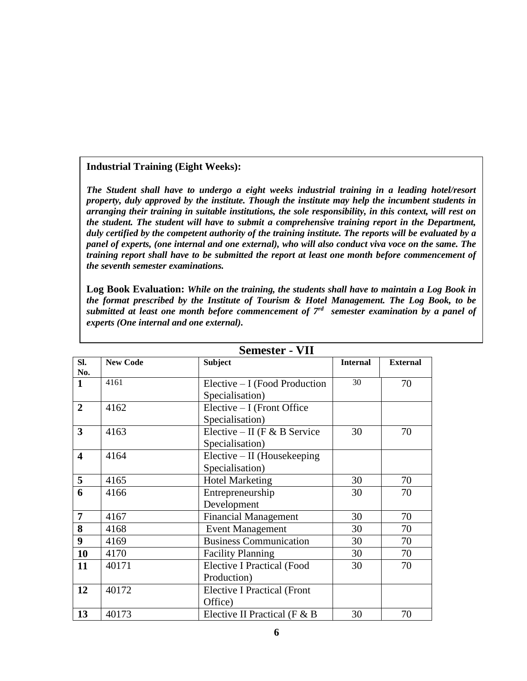### **Industrial Training (Eight Weeks):**

*The Student shall have to undergo a eight weeks industrial training in a leading hotel/resort property, duly approved by the institute. Though the institute may help the incumbent students in arranging their training in suitable institutions, the sole responsibility, in this context, will rest on the student. The student will have to submit a comprehensive training report in the Department, duly certified by the competent authority of the training institute. The reports will be evaluated by a panel of experts, (one internal and one external), who will also conduct viva voce on the same. The training report shall have to be submitted the report at least one month before commencement of the seventh semester examinations.* 

**Log Book Evaluation:** *While on the training, the students shall have to maintain a Log Book in the format prescribed by the Institute of Tourism & Hotel Management. The Log Book, to be submitted at least one month before commencement of 7rd semester examination by a panel of experts (One internal and one external).* 

|                |                 | Semester - VII                     |                 |                 |
|----------------|-----------------|------------------------------------|-----------------|-----------------|
| SI.            | <b>New Code</b> | <b>Subject</b>                     | <b>Internal</b> | <b>External</b> |
| No.            |                 |                                    |                 |                 |
| $\mathbf{1}$   | 4161            | Elective $-I$ (Food Production     | 30              | 70              |
|                |                 | Specialisation)                    |                 |                 |
| $\overline{2}$ | 4162            | Elective - I (Front Office         |                 |                 |
|                |                 | Specialisation)                    |                 |                 |
| 3              | 4163            | Elective – II (F & B Service       | 30              | 70              |
|                |                 | Specialisation)                    |                 |                 |
| 4              | 4164            | $Electric - II$ (Housekeeping      |                 |                 |
|                |                 | Specialisation)                    |                 |                 |
| 5              | 4165            | <b>Hotel Marketing</b>             | 30              | 70              |
| 6              | 4166            | Entrepreneurship                   | 30              | 70              |
|                |                 | Development                        |                 |                 |
| $\overline{7}$ | 4167            | <b>Financial Management</b>        | 30              | 70              |
| 8              | 4168            | <b>Event Management</b>            | 30              | 70              |
| 9              | 4169            | <b>Business Communication</b>      | 30              | 70              |
| 10             | 4170            | <b>Facility Planning</b>           | 30              | 70              |
| 11             | 40171           | <b>Elective I Practical (Food</b>  | 30              | 70              |
|                |                 | Production)                        |                 |                 |
| 12             | 40172           | <b>Elective I Practical (Front</b> |                 |                 |
|                |                 | Office)                            |                 |                 |
| 13             | 40173           | Elective II Practical ( $F & B$    | 30              | 70              |

**Semester - VII**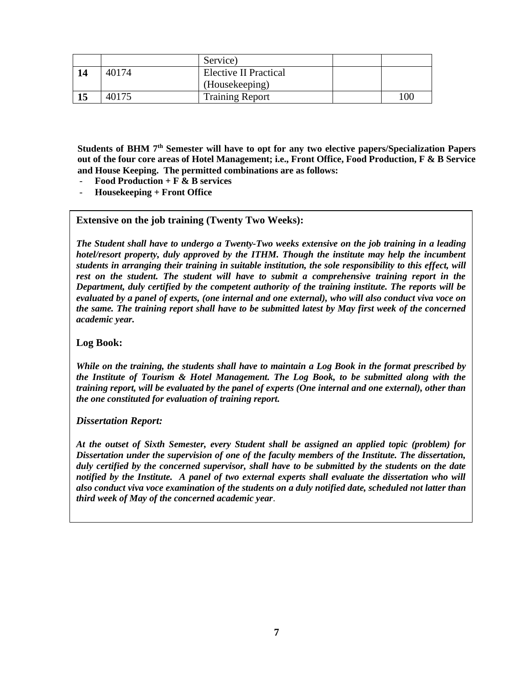|    |       | Service)                     |     |
|----|-------|------------------------------|-----|
| 14 | 40174 | <b>Elective II Practical</b> |     |
|    |       | (Housekeeping)               |     |
| 15 | 40175 | <b>Training Report</b>       | 100 |

**Students of BHM 7th Semester will have to opt for any two elective papers/Specialization Papers out of the four core areas of Hotel Management; i.e., Front Office, Food Production, F & B Service and House Keeping. The permitted combinations are as follows:**

- **Food Production + F & B services**
- **Housekeeping + Front Office**

#### **Extensive on the job training (Twenty Two Weeks):**

*The Student shall have to undergo a Twenty-Two weeks extensive on the job training in a leading hotel/resort property, duly approved by the ITHM. Though the institute may help the incumbent students in arranging their training in suitable institution, the sole responsibility to this effect, will rest on the student. The student will have to submit a comprehensive training report in the Department, duly certified by the competent authority of the training institute. The reports will be evaluated by a panel of experts, (one internal and one external), who will also conduct viva voce on the same. The training report shall have to be submitted latest by May first week of the concerned academic year.* 

### **Log Book:**

*While on the training, the students shall have to maintain a Log Book in the format prescribed by the Institute of Tourism & Hotel Management. The Log Book, to be submitted along with the training report, will be evaluated by the panel of experts (One internal and one external), other than the one constituted for evaluation of training report.*

#### *Dissertation Report:*

*At the outset of Sixth Semester, every Student shall be assigned an applied topic (problem) for Dissertation under the supervision of one of the faculty members of the Institute. The dissertation, duly certified by the concerned supervisor, shall have to be submitted by the students on the date notified by the Institute. A panel of two external experts shall evaluate the dissertation who will also conduct viva voce examination of the students on a duly notified date, scheduled not latter than third week of May of the concerned academic year*.